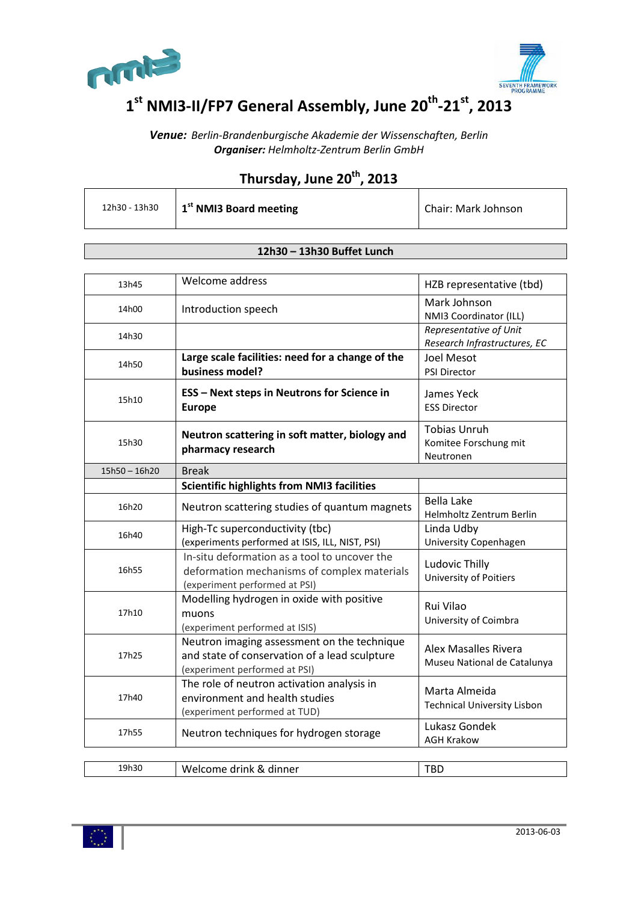



# **1st NMI3-II/FP7 General Assembly, June 20th-21st, 2013**

*Venue: Berlin-Brandenburgische Akademie der Wissenschaften, Berlin Organiser: Helmholtz-Zentrum Berlin GmbH*

## **Thursday, June 20th, 2013**

| 12h30 - 13h30 | $\vert$ 1 <sup>st</sup> NMI3 Board meeting | Chair: Mark Johnson |
|---------------|--------------------------------------------|---------------------|
|---------------|--------------------------------------------|---------------------|

#### **12h30 – 13h30 Buffet Lunch**

| 13h45                           | Welcome address                                                                                                               | HZB representative (tbd)                                   |  |
|---------------------------------|-------------------------------------------------------------------------------------------------------------------------------|------------------------------------------------------------|--|
| 14h00                           | Introduction speech                                                                                                           | Mark Johnson<br>NMI3 Coordinator (ILL)                     |  |
| 14h30                           |                                                                                                                               | Representative of Unit<br>Research Infrastructures, EC     |  |
| 14h50                           | Large scale facilities: need for a change of the<br>business model?                                                           | <b>Joel Mesot</b><br><b>PSI Director</b>                   |  |
| 15h10                           | <b>ESS - Next steps in Neutrons for Science in</b><br><b>Europe</b>                                                           | James Yeck<br><b>ESS Director</b>                          |  |
| 15h30                           | Neutron scattering in soft matter, biology and<br>pharmacy research                                                           | <b>Tobias Unruh</b><br>Komitee Forschung mit<br>Neutronen  |  |
| <b>Break</b><br>$15h50 - 16h20$ |                                                                                                                               |                                                            |  |
|                                 | <b>Scientific highlights from NMI3 facilities</b>                                                                             |                                                            |  |
| 16h20                           | Neutron scattering studies of quantum magnets                                                                                 | <b>Bella Lake</b><br>Helmholtz Zentrum Berlin              |  |
| 16h40                           | High-Tc superconductivity (tbc)<br>(experiments performed at ISIS, ILL, NIST, PSI)                                            | Linda Udby<br>University Copenhagen                        |  |
| 16h55                           | In-situ deformation as a tool to uncover the<br>deformation mechanisms of complex materials<br>(experiment performed at PSI)  | Ludovic Thilly<br>University of Poitiers                   |  |
| 17h10                           | Modelling hydrogen in oxide with positive<br>muons<br>(experiment performed at ISIS)                                          | Rui Vilao<br>University of Coimbra                         |  |
| 17h25                           | Neutron imaging assessment on the technique<br>and state of conservation of a lead sculpture<br>(experiment performed at PSI) | <b>Alex Masalles Rivera</b><br>Museu National de Catalunya |  |
| 17h40                           | The role of neutron activation analysis in<br>environment and health studies<br>(experiment performed at TUD)                 | Marta Almeida<br><b>Technical University Lisbon</b>        |  |
| 17h55                           | Neutron techniques for hydrogen storage                                                                                       | Lukasz Gondek<br><b>AGH Krakow</b>                         |  |
| 19h30                           | Welcome drink & dinner                                                                                                        | <b>TBD</b>                                                 |  |